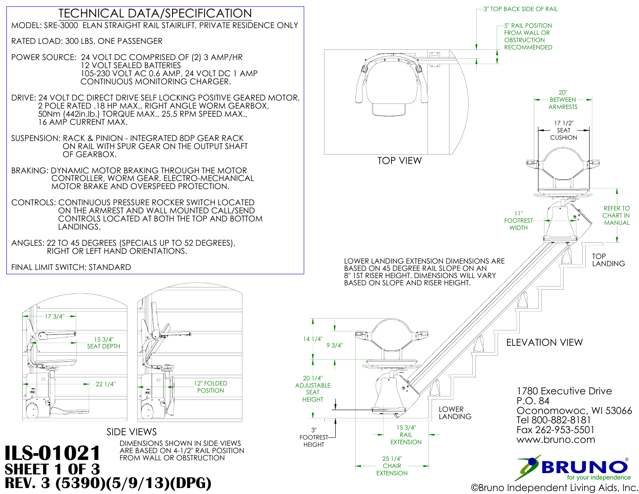

## DIMENSIONS SHOWN IN SIDE VIEWS<br>ARE BASED ON 4-1/2" RAIL POSITION **ILS-01021** ARE BASED ON 4-1/2" RAIL POS





## TECHNICAL DATA/SPECIFICATION MODEL: SRE-3000 ELAN STRAIGHT RAIL STAIRLIFT, PRIVATE RESIDENCE ONLY

RATED LOAD: 300 LBS, ONE PASSENGER

POWER SOURCE: 24 VOLT DC COMPRISED OF (2) 3 AMP/HR 12 VOLT SEALED BATTERIES 105-230 VOLT AC 0.6 AMP, 24 VOLT DC 1 AMP CONTINUOUS MONITORING CHARGER.

DRIVE: 24 VOLT DC DIRECT DRIVE SELF LOCKING POSITIVE GEARED MOTOR, 2 POLE RATED .18 HP MAX., RIGHT ANGLE WORM GEARBOX, 50Nm (442in.lb.) TORQUE MAX., 25.5 RPM SPEED MAX., 16 AMP CURRENT MAX.



SUSPENSION: RACK & PINION - INTEGRATED 8DP GEAR RACK ON RAIL WITH SPUR GEAR ON THE OUTPUT SHAFT OF GEARBOX.

BRAKING: DYNAMIC MOTOR BRAKING THROUGH THE MOTOR CONTROLLER, WORM GEAR, ELECTRO-MECHANICAL MOTOR BRAKE AND OVERSPEED PROTECTION.

CONTROLS: CONTINUOUS PRESSURE ROCKER SWITCH LOCATED ON THE ARMREST AND WALL MOUNTED CALL/SEND CONTROLS LOCATED AT BOTH THE TOP AND BOTTOM LANDINGS.

ANGLES: 22 TO 45 DEGREES (SPECIALS UP TO 52 DEGREES), RIGHT OR LEFT HAND ORIENTATIONS.

FINAL LIMIT SWITCH: STANDARD

**SHEET 1 OF 3**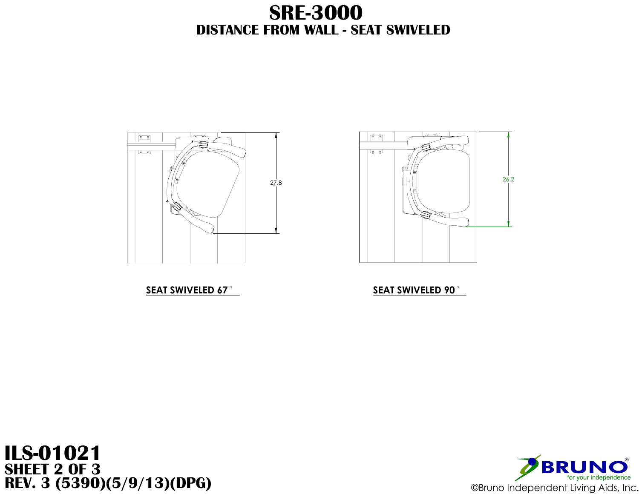

## **SEAT SWIVELED 67 SEAT SWIVELED 90**

## **DISTANCE FROM WALL - SEAT SWIVELED SRE-3000**

![](_page_1_Picture_5.jpeg)

![](_page_1_Picture_6.jpeg)

# **ILS-01021 SHEET 2 OF 3**

![](_page_1_Figure_2.jpeg)

![](_page_1_Picture_9.jpeg)